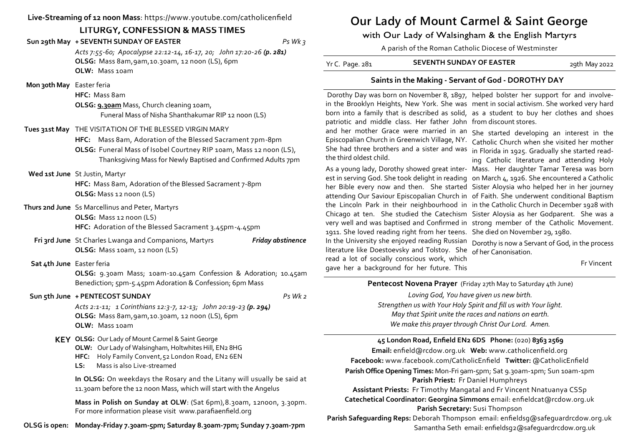**Live-Streaming of 12 noon Mass**: https://www.youtube.com/catholicenfield

## **LITURGY, CONFESSION & MASS TIMES**

**Sun 29th May + SEVENTH SUNDAY OF EASTER** *Ps Wk 3*

*Acts 7:55-60; Apocalypse 22:12-14, 16-17, 20; John 17:20-26 (p. 281)* **OLSG:** Mass 8am,9am,10.30am, 12 noon (LS), 6pm **OLW:** Mass 10am

 **Mon 30th May** Easter feria

**HFC:** Mass 8am

**OLSG: 9.30am** Mass, Church cleaning 10am, Funeral Mass of Nisha Shanthakumar RIP 12 noon (LS)

### **Tues 31st May** THE VISITATION OF THE BLESSED VIRGIN MARY

**HFC:** Mass 8am, Adoration of the Blessed Sacrament 7pm-8pm **OLSG:** Funeral Mass of Isobel Courtney RIP 10am, Mass 12 noon (LS), Thanksgiving Mass for Newly Baptised and Confirmed Adults 7pm

### **Wed 1st June** St Justin, Martyr

**HFC:** Mass 8am, Adoration of the Blessed Sacrament 7-8pm **OLSG:** Mass 12 noon (LS)

**Thurs 2nd June** Ss Marcellinus and Peter, Martyrs **OLSG:** Mass 12 noon (LS) **HFC:** Adoration of the Blessed Sacrament 3.45pm-4.45pm

**Fri 3rd June** St Charles Lwanga and Companions, Martyrs *Friday abstinence* **OLSG:** Mass 10am, 12 noon (LS)

### **Sat 4th June** Easter feria

**OLSG:** 9.30am Mass; 10am-10.45am Confession & Adoration; 10.45am Benediction; 5pm-5.45pm Adoration & Confession; 6pm Mass

### **Sun 5th June + PENTECOST SUNDAY** *Ps Wk 2*

*Acts 2:1-11; 1 Corinthians 12:3-7, 12-13; John 20:19-23 (p. 294)* **OLSG:** Mass 8am,9am,10.30am, 12 noon (LS), 6pm **OLW:** Mass 10am

### **KEY OLSG:** Our Lady of Mount Carmel & Saint George

**OLW:** Our Lady of Walsingham, Holtwhites Hill, EN2 8HG

- **HFC:** Holy Family Convent,52 London Road, EN2 6EN
- **LS:** Mass is also Live-streamed

**In OLSG:** On weekdays the Rosary and the Litany will usually be said at 11.30am before the 12 noon Mass, which will start with the Angelus

**Mass in Polish on Sunday at OLW**: (Sat 6pm),8.30am, 12noon, 3.30pm. For more information please visit www.parafiaenfield.org

**OLSG is open: Monday-Friday 7.30am-5pm; Saturday 8.30am-7pm; Sunday 7.30am-7pm**

# **Our Lady of Mount Carmel & Saint George**

with Our Lady of Walsingham & the English Martyrs

A parish of the Roman Catholic Diocese of Westminster

| Yr C. Page. 281 | <b>SEVENTH SUNDAY OF EASTER</b> | 29th May 2022 |
|-----------------|---------------------------------|---------------|
|-----------------|---------------------------------|---------------|

### **Saints in the Making - Servant of God - DOROTHY DAY**

 Dorothy Day was born on November 8, 1897, helped bolster her support for and involvein the Brooklyn Heights, New York. She was ment in social activism. She worked very hard born into a family that is described as solid, as a student to buy her clothes and shoes patriotic and middle class. Her father John from discount stores.

Episcopalian Church in Greenwich Village, NY. Catholic Church when she visited her mother She had three brothers and a sister and was in Florida in 1925. Gradually she started readthe third oldest child.

As a young lady, Dorothy showed great inter-Mass. Her daughter Tamar Teresa was born est in serving God. She took delight in reading on March 4, 1926. She encountered a Catholic her Bible every now and then. She started Sister Aloysia who helped her in her journey attending Our Saviour Episcopalian Church in of Faith. She underwent conditional Baptism the Lincoln Park in their neighbourhood in in the Catholic Church in December 1928 with Chicago at ten. She studied the Catechism Sister Aloysia as her Godparent. She was a very well and was baptised and Confirmed in strong member of the Catholic Movement. 1911. She loved reading right from her teens. She died on November 29, 1980. In the University she enjoyed reading Russian Dorothy is now a Servant of God, in the process literature like Doestoevsky and Tolstoy. She of her Canonisation. read a lot of socially conscious work, which

gave her a background for her future. This

and her mother Grace were married in an She started developing an interest in the ing Catholic literature and attending Holy

Fr Vincent

### **Pentecost Novena Prayer** (Friday 27th May to Saturday 4th June)

*Loving God, You have given us new birth. Strengthen us with Your Holy Spirit and fill us with Your light. May that Spirit unite the races and nations on earth. We make this prayer through Christ Our Lord. Amen.*

### **45 London Road, Enfield EN2 6DS Phone:** (020) **8363 2569**

**Email:** enfield@rcdow.org.uk **Web:** www.catholicenfield.org **Facebook:** www.facebook.com/CatholicEnfield **Twitter:** @CatholicEnfield **Parish Office Opening Times:** Mon-Fri 9am-5pm; Sat 9.30am-1pm; Sun 10am-1pm **Parish Priest:** Fr Daniel Humphreys

**Assistant Priests:** Fr Timothy Mangatal and Fr Vincent Nnatuanya CSSp **Catechetical Coordinator: Georgina Simmons** email: enfieldcat@rcdow.org.uk **Parish Secretary:** Susi Thompson

**Parish Safeguarding Reps:** Deborah Thompson email: enfieldsg@safeguardrcdow.org.uk Samantha Seth email: enfieldsg2@safeguardrcdow.org.uk